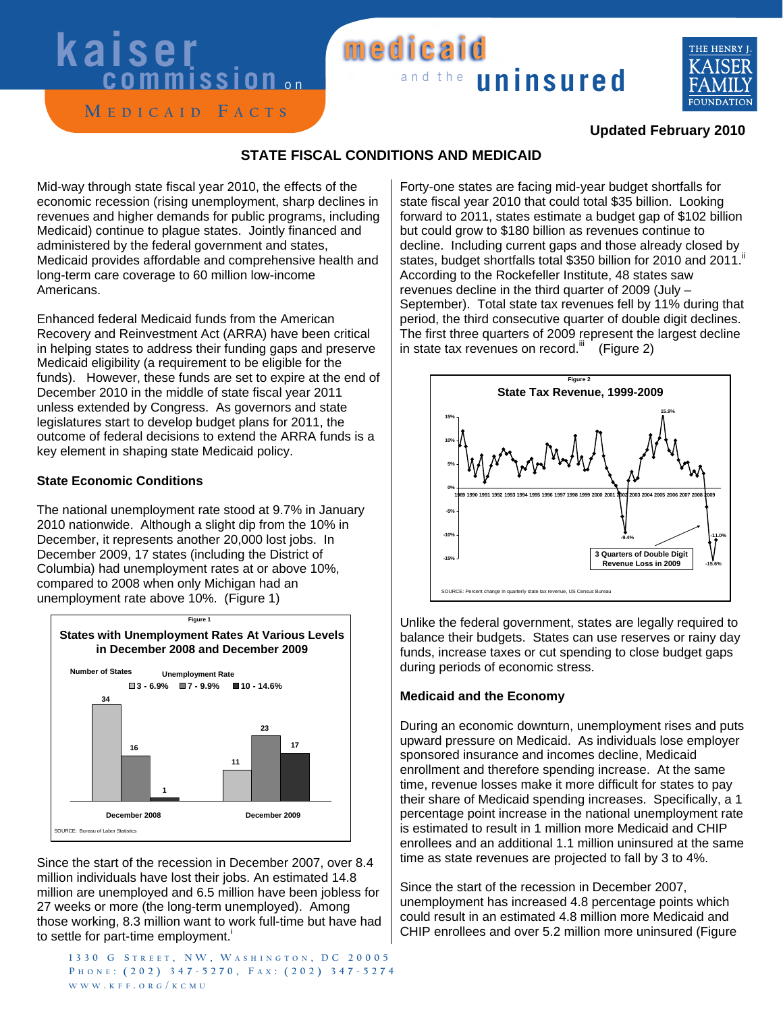# **kaiser**<br>commission

### and the **uninsured medicaid**



**M edicaid F acts**

#### **Updated February 2010**

#### **STATE FISCAL CONDITIONS AND MEDICAID**

Mid-way through state fiscal year 2010, the effects of the economic recession (rising unemployment, sharp declines in revenues and higher demands for public programs, including Medicaid) continue to plague states. Jointly financed and administered by the federal government and states, Medicaid provides affordable and comprehensive health and long-term care coverage to 60 million low-income Americans.

Enhanced federal Medicaid funds from the American Recovery and Reinvestment Act (ARRA) have been critical in helping states to address their funding gaps and preserve Medicaid eligibility (a requirement to be eligible for the funds). However, these funds are set to expire at the end of December 2010 in the middle of state fiscal year 2011 unless extended by Congress. As governors and state legislatures start to develop budget plans for 2011, the outcome of federal decisions to extend the ARRA funds is a key element in shaping state Medicaid policy.

#### **State Economic Conditions**

The national unemployment rate stood at 9.7% in January 2010 nationwide. Although a slight dip from the 10% in December, it represents another 20,000 lost jobs. In December 2009, 17 states (including the District of Columbia) had unemployment rates at or above 10%, compared to 2008 when only Michigan had an unemployment rate above 10%. (Figure 1)



Since the start of the recession in December 2007, over 8.4 million individuals have lost their jobs. An estimated 14.8 million are unemployed and 6.5 million have been jobless for 27 weeks or more (the long-term unemployed). Among those working, 8.3 million want to work full-time but have had to settle for part-time employment.<sup>i</sup>

**1330 G s treet , NW, W ashiNGto N , dc 20005 P h o N e : (202) 347-5270, F a x : ( 2 0 2 ) 3 4 7 - 5 2 7 4 WWW . k F F . o r G / k c M u**

Forty-one states are facing mid-year budget shortfalls for state fiscal year 2010 that could total \$35 billion. Looking forward to 2011, states estimate a budget gap of \$102 billion but could grow to \$180 billion as revenues continue to decline. Including current gaps and those already closed by states, budget shortfalls total \$350 billion for 2010 and 2011.<sup>ii</sup> According to the Rockefeller Institute, 48 states saw revenues decline in the third quarter of 2009 (July – September). Total state tax revenues fell by 11% during that period, the third consecutive quarter of double digit declines. The first three quarters of 2009 represent the largest decline in state tax revenues on record.<sup>iii</sup> (Figure 2)



Unlike the federal government, states are legally required to balance their budgets. States can use reserves or rainy day funds, increase taxes or cut spending to close budget gaps during periods of economic stress.

#### **Medicaid and the Economy**

During an economic downturn, unemployment rises and puts upward pressure on Medicaid. As individuals lose employer sponsored insurance and incomes decline, Medicaid enrollment and therefore spending increase. At the same time, revenue losses make it more difficult for states to pay their share of Medicaid spending increases. Specifically, a 1 percentage point increase in the national unemployment rate is estimated to result in 1 million more Medicaid and CHIP enrollees and an additional 1.1 million uninsured at the same time as state revenues are projected to fall by 3 to 4%.

Since the start of the recession in December 2007, unemployment has increased 4.8 percentage points which could result in an estimated 4.8 million more Medicaid and CHIP enrollees and over 5.2 million more uninsured (Figure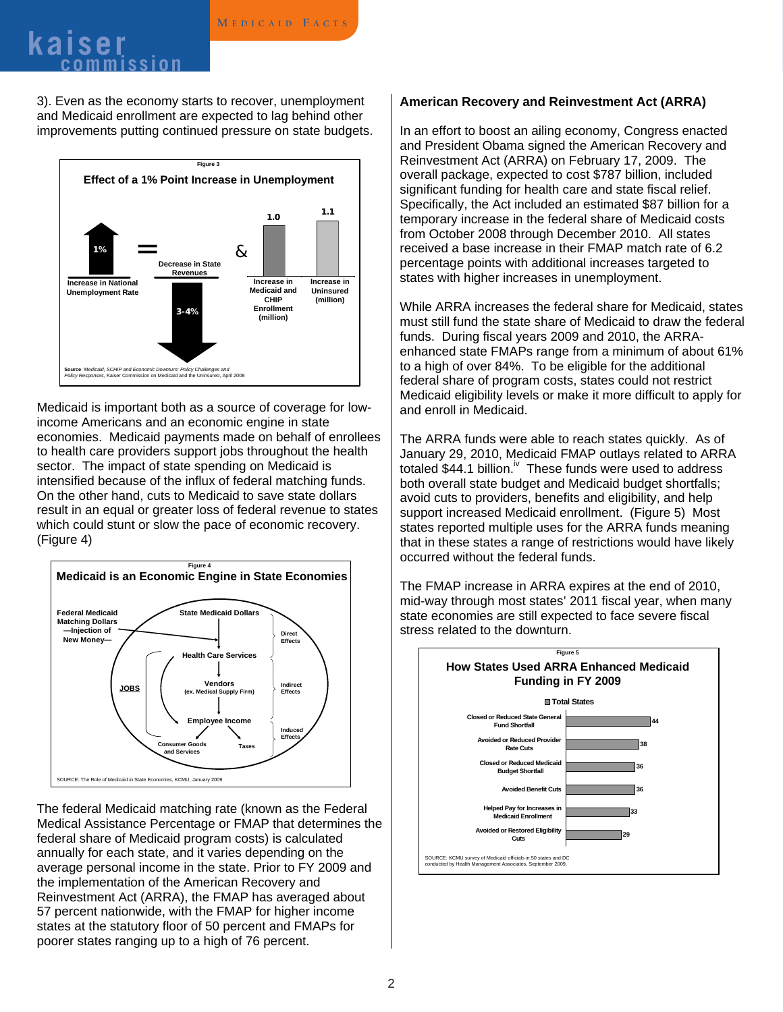## **<sup>M</sup> edicaid F acts kaiser commission**

3). Even as the economy starts to recover, unemployment and Medicaid enrollment are expected to lag behind other improvements putting continued pressure on state budgets.



Medicaid is important both as a source of coverage for lowincome Americans and an economic engine in state economies. Medicaid payments made on behalf of enrollees to health care providers support jobs throughout the health sector. The impact of state spending on Medicaid is intensified because of the influx of federal matching funds. On the other hand, cuts to Medicaid to save state dollars result in an equal or greater loss of federal revenue to states which could stunt or slow the pace of economic recovery. (Figure 4)



The federal Medicaid matching rate (known as the Federal Medical Assistance Percentage or FMAP that determines the federal share of Medicaid program costs) is calculated annually for each state, and it varies depending on the average personal income in the state. Prior to FY 2009 and the implementation of the American Recovery and Reinvestment Act (ARRA), the FMAP has averaged about 57 percent nationwide, with the FMAP for higher income states at the statutory floor of 50 percent and FMAPs for poorer states ranging up to a high of 76 percent.

#### **American Recovery and Reinvestment Act (ARRA)**

In an effort to boost an ailing economy, Congress enacted and President Obama signed the American Recovery and Reinvestment Act (ARRA) on February 17, 2009. The overall package, expected to cost \$787 billion, included significant funding for health care and state fiscal relief. Specifically, the Act included an estimated \$87 billion for a temporary increase in the federal share of Medicaid costs from October 2008 through December 2010. All states received a base increase in their FMAP match rate of 6.2 percentage points with additional increases targeted to states with higher increases in unemployment.

While ARRA increases the federal share for Medicaid, states must still fund the state share of Medicaid to draw the federal funds. During fiscal years 2009 and 2010, the ARRAenhanced state FMAPs range from a minimum of about 61% to a high of over 84%. To be eligible for the additional federal share of program costs, states could not restrict Medicaid eligibility levels or make it more difficult to apply for and enroll in Medicaid.

The ARRA funds were able to reach states quickly. As of January 29, 2010, Medicaid FMAP outlays related to ARRA totaled  $$44.1$  billion.<sup>iv</sup> These funds were used to address both overall state budget and Medicaid budget shortfalls; avoid cuts to providers, benefits and eligibility, and help support increased Medicaid enrollment. (Figure 5) Most states reported multiple uses for the ARRA funds meaning that in these states a range of restrictions would have likely occurred without the federal funds.

The FMAP increase in ARRA expires at the end of 2010, mid-way through most states' 2011 fiscal year, when many state economies are still expected to face severe fiscal stress related to the downturn.

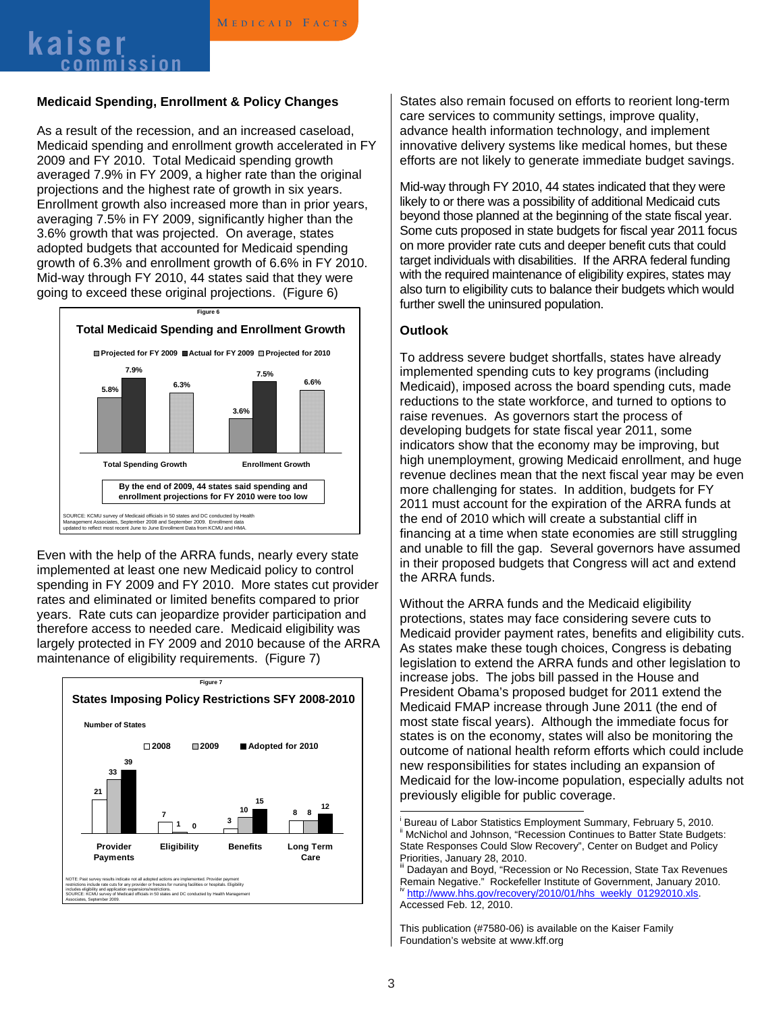## **<sup>M</sup> edicaid F acts kaiser commission**

#### **Medicaid Spending, Enrollment & Policy Changes**

As a result of the recession, and an increased caseload, Medicaid spending and enrollment growth accelerated in FY 2009 and FY 2010. Total Medicaid spending growth averaged 7.9% in FY 2009, a higher rate than the original projections and the highest rate of growth in six years. Enrollment growth also increased more than in prior years, averaging 7.5% in FY 2009, significantly higher than the 3.6% growth that was projected. On average, states adopted budgets that accounted for Medicaid spending growth of 6.3% and enrollment growth of 6.6% in FY 2010. Mid-way through FY 2010, 44 states said that they were going to exceed these original projections. (Figure 6)



Even with the help of the ARRA funds, nearly every state implemented at least one new Medicaid policy to control spending in FY 2009 and FY 2010. More states cut provider rates and eliminated or limited benefits compared to prior years. Rate cuts can jeopardize provider participation and therefore access to needed care. Medicaid eligibility was largely protected in FY 2009 and 2010 because of the ARRA maintenance of eligibility requirements. (Figure 7)



States also remain focused on efforts to reorient long-term care services to community settings, improve quality, advance health information technology, and implement innovative delivery systems like medical homes, but these efforts are not likely to generate immediate budget savings.

Mid-way through FY 2010, 44 states indicated that they were likely to or there was a possibility of additional Medicaid cuts beyond those planned at the beginning of the state fiscal year. Some cuts proposed in state budgets for fiscal year 2011 focus on more provider rate cuts and deeper benefit cuts that could target individuals with disabilities. If the ARRA federal funding with the required maintenance of eligibility expires, states may also turn to eligibility cuts to balance their budgets which would further swell the uninsured population.

#### **Outlook**

To address severe budget shortfalls, states have already implemented spending cuts to key programs (including Medicaid), imposed across the board spending cuts, made reductions to the state workforce, and turned to options to raise revenues. As governors start the process of developing budgets for state fiscal year 2011, some indicators show that the economy may be improving, but high unemployment, growing Medicaid enrollment, and huge revenue declines mean that the next fiscal year may be even more challenging for states. In addition, budgets for FY 2011 must account for the expiration of the ARRA funds at the end of 2010 which will create a substantial cliff in financing at a time when state economies are still struggling and unable to fill the gap. Several governors have assumed in their proposed budgets that Congress will act and extend the ARRA funds.

Without the ARRA funds and the Medicaid eligibility protections, states may face considering severe cuts to Medicaid provider payment rates, benefits and eligibility cuts. As states make these tough choices, Congress is debating legislation to extend the ARRA funds and other legislation to increase jobs. The jobs bill passed in the House and President Obama's proposed budget for 2011 extend the Medicaid FMAP increase through June 2011 (the end of most state fiscal years). Although the immediate focus for states is on the economy, states will also be monitoring the outcome of national health reform efforts which could include new responsibilities for states including an expansion of Medicaid for the low-income population, especially adults not previously eligible for public coverage.

 $\overline{a}$ 

i Bureau of Labor Statistics Employment Summary, February 5, 2010. McNichol and Johnson, "Recession Continues to Batter State Budgets: State Responses Could Slow Recovery", Center on Budget and Policy Priorities, January 28, 2010.

iii Dadayan and Boyd, "Recession or No Recession, State Tax Revenues Remain Negative." Rockefeller Institute of Government, January 2010. <sup>iv</sup> http://www.hhs.gov/recovery/2010/01/hhs\_weekly\_01292010.xls. Accessed Feb. 12, 2010.

This publication (#7580-06) is available on the Kaiser Family Foundation's website at www.kff.org